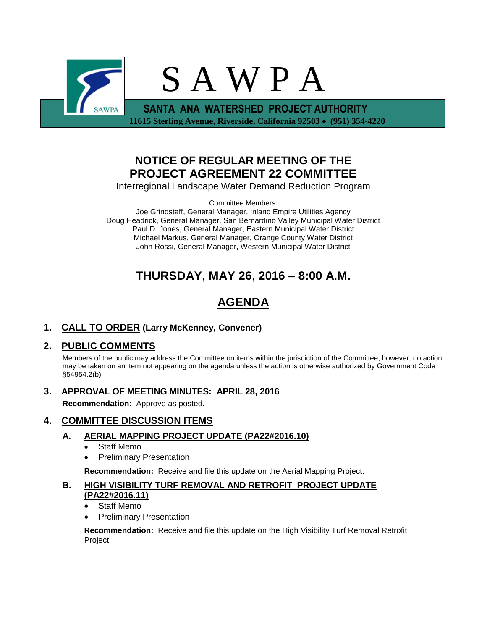

## **NOTICE OF REGULAR MEETING OF THE PROJECT AGREEMENT 22 COMMITTEE**

Interregional Landscape Water Demand Reduction Program

Committee Members:

Joe Grindstaff, General Manager, Inland Empire Utilities Agency Doug Headrick, General Manager, San Bernardino Valley Municipal Water District Paul D. Jones, General Manager, Eastern Municipal Water District Michael Markus, General Manager, Orange County Water District John Rossi, General Manager, Western Municipal Water District

## **THURSDAY, MAY 26, 2016 – 8:00 A.M.**

# **AGENDA**

### **1. CALL TO ORDER (Larry McKenney, Convener)**

### **2. PUBLIC COMMENTS**

Members of the public may address the Committee on items within the jurisdiction of the Committee; however, no action may be taken on an item not appearing on the agenda unless the action is otherwise authorized by Government Code §54954.2(b).

**3. APPROVAL OF MEETING MINUTES: APRIL 28, 2016**

**Recommendation:** Approve as posted.

### **4. COMMITTEE DISCUSSION ITEMS**

#### **A. AERIAL MAPPING PROJECT UPDATE (PA22#2016.10)**

- Staff Memo
- Preliminary Presentation

**Recommendation:** Receive and file this update on the Aerial Mapping Project.

#### **B. HIGH VISIBILITY TURF REMOVAL AND RETROFIT PROJECT UPDATE (PA22#2016.11)**

- Staff Memo
- Preliminary Presentation

**Recommendation:** Receive and file this update on the High Visibility Turf Removal Retrofit Project.